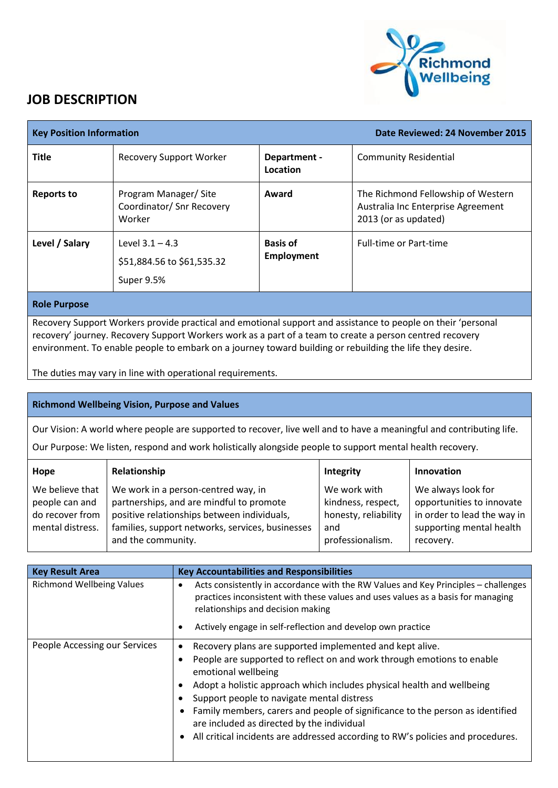

## **JOB DESCRIPTION**

| <b>Key Position Information</b> |                                                               |                                      | Date Reviewed: 24 November 2015                                                                  |
|---------------------------------|---------------------------------------------------------------|--------------------------------------|--------------------------------------------------------------------------------------------------|
| <b>Title</b>                    | <b>Recovery Support Worker</b>                                | Department -<br>Location             | <b>Community Residential</b>                                                                     |
| <b>Reports to</b>               | Program Manager/ Site<br>Coordinator/ Snr Recovery<br>Worker  | Award                                | The Richmond Fellowship of Western<br>Australia Inc Enterprise Agreement<br>2013 (or as updated) |
| Level / Salary                  | Level $3.1 - 4.3$<br>\$51,884.56 to \$61,535.32<br>Super 9.5% | <b>Basis of</b><br><b>Employment</b> | <b>Full-time or Part-time</b>                                                                    |
|                                 |                                                               |                                      |                                                                                                  |

## **Role Purpose**

Recovery Support Workers provide practical and emotional support and assistance to people on their 'personal recovery' journey. Recovery Support Workers work as a part of a team to create a person centred recovery environment. To enable people to embark on a journey toward building or rebuilding the life they desire.

The duties may vary in line with operational requirements.

## **Richmond Wellbeing Vision, Purpose and Values**

Our Vision: A world where people are supported to recover, live well and to have a meaningful and contributing life.

Our Purpose: We listen, respond and work holistically alongside people to support mental health recovery.

| Hope                                                                     | Relationship                                                                                                                                                                                             | <b>Integrity</b>                                                                      | <b>Innovation</b>                                                                                                       |
|--------------------------------------------------------------------------|----------------------------------------------------------------------------------------------------------------------------------------------------------------------------------------------------------|---------------------------------------------------------------------------------------|-------------------------------------------------------------------------------------------------------------------------|
| We believe that<br>people can and<br>do recover from<br>mental distress. | We work in a person-centred way, in<br>partnerships, and are mindful to promote<br>positive relationships between individuals,<br>families, support networks, services, businesses<br>and the community. | We work with<br>kindness, respect,<br>honesty, reliability<br>and<br>professionalism. | We always look for<br>opportunities to innovate<br>in order to lead the way in<br>supporting mental health<br>recovery. |

| <b>Key Result Area</b>           | <b>Key Accountabilities and Responsibilities</b>                                                                                                                                                                                                                                                                                                                                                                                                                                                    |
|----------------------------------|-----------------------------------------------------------------------------------------------------------------------------------------------------------------------------------------------------------------------------------------------------------------------------------------------------------------------------------------------------------------------------------------------------------------------------------------------------------------------------------------------------|
| <b>Richmond Wellbeing Values</b> | Acts consistently in accordance with the RW Values and Key Principles - challenges<br>practices inconsistent with these values and uses values as a basis for managing<br>relationships and decision making                                                                                                                                                                                                                                                                                         |
|                                  | Actively engage in self-reflection and develop own practice                                                                                                                                                                                                                                                                                                                                                                                                                                         |
| People Accessing our Services    | Recovery plans are supported implemented and kept alive.<br>People are supported to reflect on and work through emotions to enable<br>emotional wellbeing<br>Adopt a holistic approach which includes physical health and wellbeing<br>Support people to navigate mental distress<br>Family members, carers and people of significance to the person as identified<br>are included as directed by the individual<br>All critical incidents are addressed according to RW's policies and procedures. |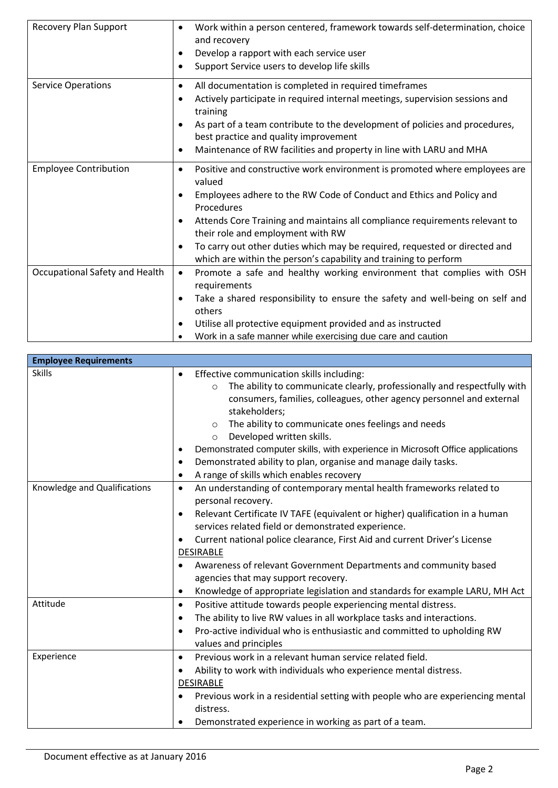| <b>Recovery Plan Support</b>   | Work within a person centered, framework towards self-determination, choice<br>٠<br>and recovery<br>Develop a rapport with each service user<br>٠<br>Support Service users to develop life skills<br>٠ |
|--------------------------------|--------------------------------------------------------------------------------------------------------------------------------------------------------------------------------------------------------|
| <b>Service Operations</b>      | All documentation is completed in required timeframes<br>٠<br>Actively participate in required internal meetings, supervision sessions and<br>٠                                                        |
|                                | training                                                                                                                                                                                               |
|                                | As part of a team contribute to the development of policies and procedures,<br>best practice and quality improvement                                                                                   |
|                                | Maintenance of RW facilities and property in line with LARU and MHA<br>$\bullet$                                                                                                                       |
| <b>Employee Contribution</b>   | Positive and constructive work environment is promoted where employees are<br>$\bullet$<br>valued                                                                                                      |
|                                | Employees adhere to the RW Code of Conduct and Ethics and Policy and<br>$\bullet$<br>Procedures                                                                                                        |
|                                | Attends Core Training and maintains all compliance requirements relevant to<br>٠<br>their role and employment with RW                                                                                  |
|                                | To carry out other duties which may be required, requested or directed and<br>which are within the person's capability and training to perform                                                         |
| Occupational Safety and Health | Promote a safe and healthy working environment that complies with OSH<br>$\bullet$                                                                                                                     |
|                                | requirements                                                                                                                                                                                           |
|                                | Take a shared responsibility to ensure the safety and well-being on self and<br>٠                                                                                                                      |
|                                | others                                                                                                                                                                                                 |
|                                | Utilise all protective equipment provided and as instructed                                                                                                                                            |
|                                | Work in a safe manner while exercising due care and caution                                                                                                                                            |

| <b>Employee Requirements</b> |                                                                                                                                                                                                                                                                                                                                                                         |
|------------------------------|-------------------------------------------------------------------------------------------------------------------------------------------------------------------------------------------------------------------------------------------------------------------------------------------------------------------------------------------------------------------------|
| <b>Skills</b>                | Effective communication skills including:                                                                                                                                                                                                                                                                                                                               |
|                              | The ability to communicate clearly, professionally and respectfully with<br>$\circ$<br>consumers, families, colleagues, other agency personnel and external<br>stakeholders;<br>The ability to communicate ones feelings and needs<br>$\circ$<br>Developed written skills.<br>$\circ$<br>Demonstrated computer skills, with experience in Microsoft Office applications |
|                              | Demonstrated ability to plan, organise and manage daily tasks.                                                                                                                                                                                                                                                                                                          |
|                              | A range of skills which enables recovery                                                                                                                                                                                                                                                                                                                                |
| Knowledge and Qualifications | An understanding of contemporary mental health frameworks related to<br>$\bullet$<br>personal recovery.                                                                                                                                                                                                                                                                 |
|                              | Relevant Certificate IV TAFE (equivalent or higher) qualification in a human<br>$\bullet$<br>services related field or demonstrated experience.                                                                                                                                                                                                                         |
|                              | Current national police clearance, First Aid and current Driver's License                                                                                                                                                                                                                                                                                               |
|                              | <b>DESIRABLE</b>                                                                                                                                                                                                                                                                                                                                                        |
|                              | Awareness of relevant Government Departments and community based                                                                                                                                                                                                                                                                                                        |
|                              | agencies that may support recovery.                                                                                                                                                                                                                                                                                                                                     |
|                              | Knowledge of appropriate legislation and standards for example LARU, MH Act<br>$\bullet$                                                                                                                                                                                                                                                                                |
| Attitude                     | Positive attitude towards people experiencing mental distress.<br>$\bullet$                                                                                                                                                                                                                                                                                             |
|                              | The ability to live RW values in all workplace tasks and interactions.                                                                                                                                                                                                                                                                                                  |
|                              | Pro-active individual who is enthusiastic and committed to upholding RW<br>values and principles                                                                                                                                                                                                                                                                        |
| Experience                   | Previous work in a relevant human service related field.<br>$\bullet$                                                                                                                                                                                                                                                                                                   |
|                              | Ability to work with individuals who experience mental distress.                                                                                                                                                                                                                                                                                                        |
|                              | <b>DESIRABLE</b>                                                                                                                                                                                                                                                                                                                                                        |
|                              | Previous work in a residential setting with people who are experiencing mental<br>distress.                                                                                                                                                                                                                                                                             |
|                              | Demonstrated experience in working as part of a team.                                                                                                                                                                                                                                                                                                                   |